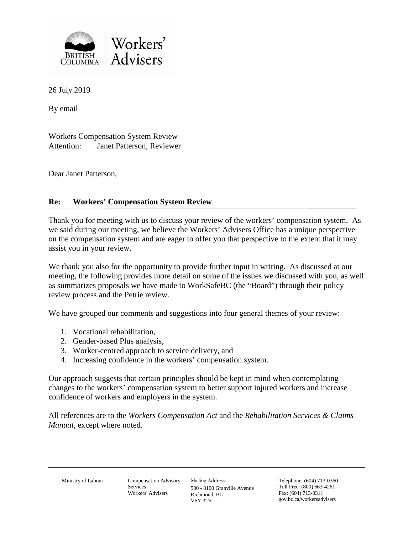

26 July 2019

By email

Workers Compensation System Review Attention: Janet Patterson, Reviewer

Dear Janet Patterson,

# **Re: Workers' Compensation System Review**

Thank you for meeting with us to discuss your review of the workers' compensation system. As we said during our meeting, we believe the Workers' Advisers Office has a unique perspective on the compensation system and are eager to offer you that perspective to the extent that it may assist you in your review.

We thank you also for the opportunity to provide further input in writing. As discussed at our meeting, the following provides more detail on some of the issues we discussed with you, as well as summarizes proposals we have made to WorkSafeBC (the "Board") through their policy review process and the Petrie review.

We have grouped our comments and suggestions into four general themes of your review:

- 1. Vocational rehabilitation,
- 2. Gender-based Plus analysis,
- 3. Worker-centred approach to service delivery, and
- 4. Increasing confidence in the workers' compensation system.

Our approach suggests that certain principles should be kept in mind when contemplating changes to the workers' compensation system to better support injured workers and increase confidence of workers and employers in the system.

All references are to the *Workers Compensation Act* and the *Rehabilitation Services & Claims Manual*, except where noted.

Ministry of Labour Compensation Advisory Services Workers' Advisers

Mailing Address: 500 - 8100 Granville Avenue Richmond, BC V6Y 3T6

Telephone: (604) 713-0360 Toll Free: (800) 663-4261 Fax: (604) 713-0311 gov.bc.ca/workersadvisers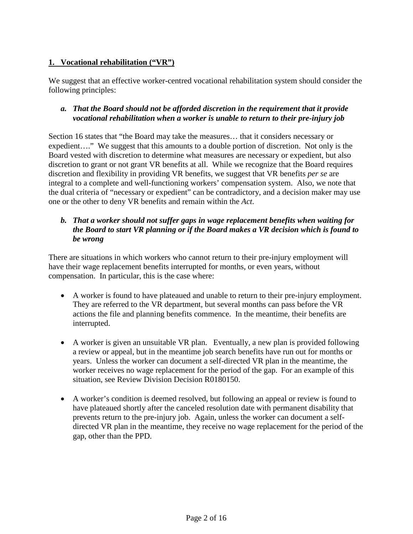# **1. Vocational rehabilitation ("VR")**

We suggest that an effective worker-centred vocational rehabilitation system should consider the following principles:

### *a. That the Board should not be afforded discretion in the requirement that it provide vocational rehabilitation when a worker is unable to return to their pre-injury job*

Section 16 states that "the Board may take the measures… that it considers necessary or expedient…." We suggest that this amounts to a double portion of discretion. Not only is the Board vested with discretion to determine what measures are necessary or expedient, but also discretion to grant or not grant VR benefits at all. While we recognize that the Board requires discretion and flexibility in providing VR benefits, we suggest that VR benefits *per se* are integral to a complete and well-functioning workers' compensation system. Also, we note that the dual criteria of "necessary or expedient" can be contradictory, and a decision maker may use one or the other to deny VR benefits and remain within the *Act*.

# *b. That a worker should not suffer gaps in wage replacement benefits when waiting for the Board to start VR planning or if the Board makes a VR decision which is found to be wrong*

There are situations in which workers who cannot return to their pre-injury employment will have their wage replacement benefits interrupted for months, or even years, without compensation. In particular, this is the case where:

- A worker is found to have plateaued and unable to return to their pre-injury employment. They are referred to the VR department, but several months can pass before the VR actions the file and planning benefits commence. In the meantime, their benefits are interrupted.
- A worker is given an unsuitable VR plan. Eventually, a new plan is provided following a review or appeal, but in the meantime job search benefits have run out for months or years. Unless the worker can document a self-directed VR plan in the meantime, the worker receives no wage replacement for the period of the gap. For an example of this situation, see Review Division Decision R0180150.
- A worker's condition is deemed resolved, but following an appeal or review is found to have plateaued shortly after the canceled resolution date with permanent disability that prevents return to the pre-injury job. Again, unless the worker can document a selfdirected VR plan in the meantime, they receive no wage replacement for the period of the gap, other than the PPD.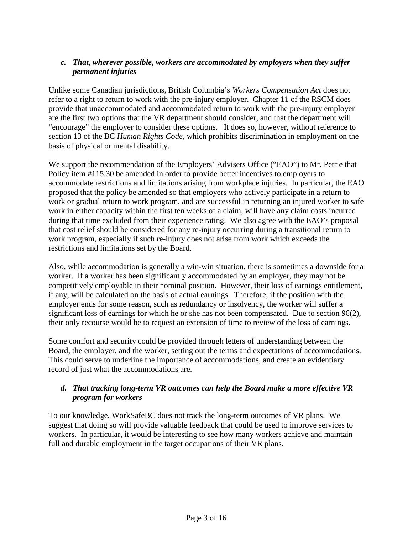# *c. That, wherever possible, workers are accommodated by employers when they suffer permanent injuries*

Unlike some Canadian jurisdictions, British Columbia's *Workers Compensation Act* does not refer to a right to return to work with the pre-injury employer. Chapter 11 of the RSCM does provide that unaccommodated and accommodated return to work with the pre-injury employer are the first two options that the VR department should consider, and that the department will "encourage" the employer to consider these options. It does so, however, without reference to section 13 of the BC *Human Rights Code*, which prohibits discrimination in employment on the basis of physical or mental disability.

We support the recommendation of the Employers' Advisers Office ("EAO") to Mr. Petrie that Policy item #115.30 be amended in order to provide better incentives to employers to accommodate restrictions and limitations arising from workplace injuries. In particular, the EAO proposed that the policy be amended so that employers who actively participate in a return to work or gradual return to work program, and are successful in returning an injured worker to safe work in either capacity within the first ten weeks of a claim, will have any claim costs incurred during that time excluded from their experience rating. We also agree with the EAO's proposal that cost relief should be considered for any re-injury occurring during a transitional return to work program, especially if such re-injury does not arise from work which exceeds the restrictions and limitations set by the Board.

Also, while accommodation is generally a win-win situation, there is sometimes a downside for a worker. If a worker has been significantly accommodated by an employer, they may not be competitively employable in their nominal position. However, their loss of earnings entitlement, if any, will be calculated on the basis of actual earnings. Therefore, if the position with the employer ends for some reason, such as redundancy or insolvency, the worker will suffer a significant loss of earnings for which he or she has not been compensated. Due to section 96(2), their only recourse would be to request an extension of time to review of the loss of earnings.

Some comfort and security could be provided through letters of understanding between the Board, the employer, and the worker, setting out the terms and expectations of accommodations. This could serve to underline the importance of accommodations, and create an evidentiary record of just what the accommodations are.

# *d. That tracking long-term VR outcomes can help the Board make a more effective VR program for workers*

To our knowledge, WorkSafeBC does not track the long-term outcomes of VR plans. We suggest that doing so will provide valuable feedback that could be used to improve services to workers. In particular, it would be interesting to see how many workers achieve and maintain full and durable employment in the target occupations of their VR plans.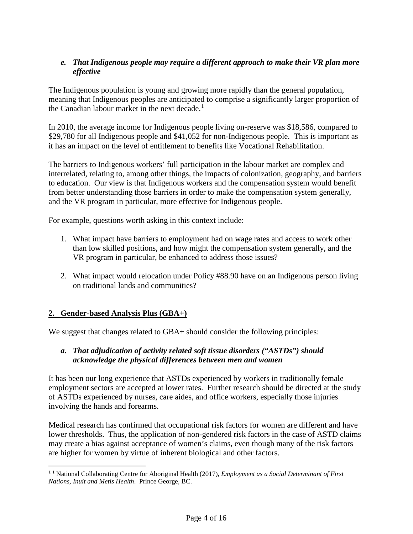# *e. That Indigenous people may require a different approach to make their VR plan more effective*

The Indigenous population is young and growing more rapidly than the general population, meaning that Indigenous peoples are anticipated to comprise a significantly larger proportion of the Canadian labour market in the next decade.<sup>[1](#page-3-0)</sup>

In 2010, the average income for Indigenous people living on-reserve was \$18,586, compared to \$29,780 for all Indigenous people and \$41,052 for non-Indigenous people. This is important as it has an impact on the level of entitlement to benefits like Vocational Rehabilitation.

The barriers to Indigenous workers' full participation in the labour market are complex and interrelated, relating to, among other things, the impacts of colonization, geography, and barriers to education. Our view is that Indigenous workers and the compensation system would benefit from better understanding those barriers in order to make the compensation system generally, and the VR program in particular, more effective for Indigenous people.

For example, questions worth asking in this context include:

- 1. What impact have barriers to employment had on wage rates and access to work other than low skilled positions, and how might the compensation system generally, and the VR program in particular, be enhanced to address those issues?
- 2. What impact would relocation under Policy #88.90 have on an Indigenous person living on traditional lands and communities?

# **2. Gender-based Analysis Plus (GBA+)**

We suggest that changes related to GBA+ should consider the following principles:

#### *a. That adjudication of activity related soft tissue disorders ("ASTDs") should acknowledge the physical differences between men and women*

It has been our long experience that ASTDs experienced by workers in traditionally female employment sectors are accepted at lower rates. Further research should be directed at the study of ASTDs experienced by nurses, care aides, and office workers, especially those injuries involving the hands and forearms.

Medical research has confirmed that occupational risk factors for women are different and have lower thresholds. Thus, the application of non-gendered risk factors in the case of ASTD claims may create a bias against acceptance of women's claims, even though many of the risk factors are higher for women by virtue of inherent biological and other factors.

<span id="page-3-0"></span> <sup>1</sup> <sup>1</sup> National Collaborating Centre for Aboriginal Health (2017), *Employment as a Social Determinant of First Nations, Inuit and Metis Health*. Prince George, BC.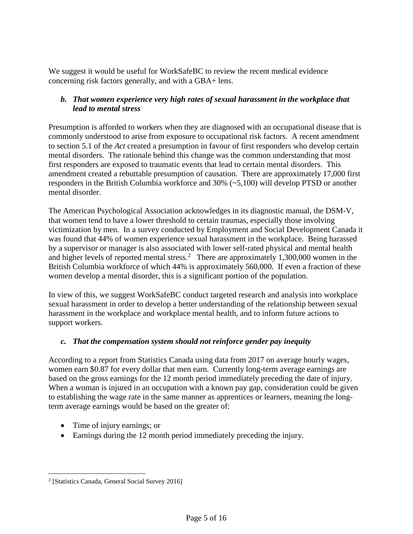We suggest it would be useful for WorkSafeBC to review the recent medical evidence concerning risk factors generally, and with a GBA+ lens.

#### *b. That women experience very high rates of sexual harassment in the workplace that lead to mental stress*

Presumption is afforded to workers when they are diagnosed with an occupational disease that is commonly understood to arise from exposure to occupational risk factors. A recent amendment to section 5.1 of the *Act* created a presumption in favour of first responders who develop certain mental disorders. The rationale behind this change was the common understanding that most first responders are exposed to traumatic events that lead to certain mental disorders. This amendment created a rebuttable presumption of causation. There are approximately 17,000 first responders in the British Columbia workforce and 30% (~5,100) will develop PTSD or another mental disorder.

The American Psychological Association acknowledges in its diagnostic manual, the DSM-V, that women tend to have a lower threshold to certain traumas, especially those involving victimization by men. In a survey conducted by Employment and Social Development Canada it was found that 44% of women experience sexual harassment in the workplace. Being harassed by a supervisor or manager is also associated with lower self-rated physical and mental health and higher levels of reported mental stress.<sup>[2](#page-4-0)</sup> There are approximately 1,300,000 women in the British Columbia workforce of which 44% is approximately 560,000. If even a fraction of these women develop a mental disorder, this is a significant portion of the population.

In view of this, we suggest WorkSafeBC conduct targeted research and analysis into workplace sexual harassment in order to develop a better understanding of the relationship between sexual harassment in the workplace and workplace mental health, and to inform future actions to support workers.

#### *c. That the compensation system should not reinforce gender pay inequity*

According to a report from Statistics Canada using data from 2017 on average hourly wages, women earn \$0.87 for every dollar that men earn. Currently long-term average earnings are based on the gross earnings for the 12 month period immediately preceding the date of injury. When a woman is injured in an occupation with a known pay gap, consideration could be given to establishing the wage rate in the same manner as apprentices or learners, meaning the longterm average earnings would be based on the greater of:

- Time of injury earnings; or
- Earnings during the 12 month period immediately preceding the injury.

<span id="page-4-0"></span> <sup>2</sup> [Statistics Canada, General Social Survey 2016]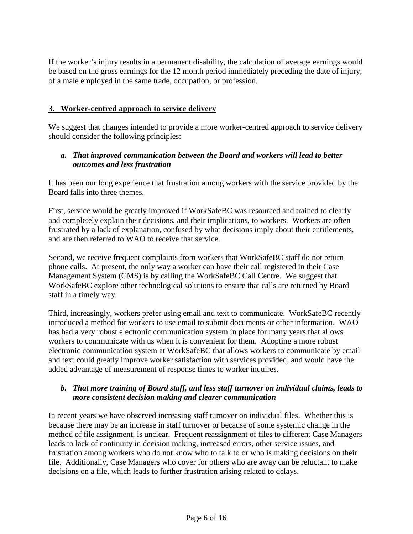If the worker's injury results in a permanent disability, the calculation of average earnings would be based on the gross earnings for the 12 month period immediately preceding the date of injury, of a male employed in the same trade, occupation, or profession.

#### **3. Worker-centred approach to service delivery**

We suggest that changes intended to provide a more worker-centred approach to service delivery should consider the following principles:

#### *a. That improved communication between the Board and workers will lead to better outcomes and less frustration*

It has been our long experience that frustration among workers with the service provided by the Board falls into three themes.

First, service would be greatly improved if WorkSafeBC was resourced and trained to clearly and completely explain their decisions, and their implications, to workers. Workers are often frustrated by a lack of explanation, confused by what decisions imply about their entitlements, and are then referred to WAO to receive that service.

Second, we receive frequent complaints from workers that WorkSafeBC staff do not return phone calls. At present, the only way a worker can have their call registered in their Case Management System (CMS) is by calling the WorkSafeBC Call Centre. We suggest that WorkSafeBC explore other technological solutions to ensure that calls are returned by Board staff in a timely way.

Third, increasingly, workers prefer using email and text to communicate. WorkSafeBC recently introduced a method for workers to use email to submit documents or other information. WAO has had a very robust electronic communication system in place for many years that allows workers to communicate with us when it is convenient for them. Adopting a more robust electronic communication system at WorkSafeBC that allows workers to communicate by email and text could greatly improve worker satisfaction with services provided, and would have the added advantage of measurement of response times to worker inquires.

#### *b. That more training of Board staff, and less staff turnover on individual claims, leads to more consistent decision making and clearer communication*

In recent years we have observed increasing staff turnover on individual files. Whether this is because there may be an increase in staff turnover or because of some systemic change in the method of file assignment, is unclear. Frequent reassignment of files to different Case Managers leads to lack of continuity in decision making, increased errors, other service issues, and frustration among workers who do not know who to talk to or who is making decisions on their file. Additionally, Case Managers who cover for others who are away can be reluctant to make decisions on a file, which leads to further frustration arising related to delays.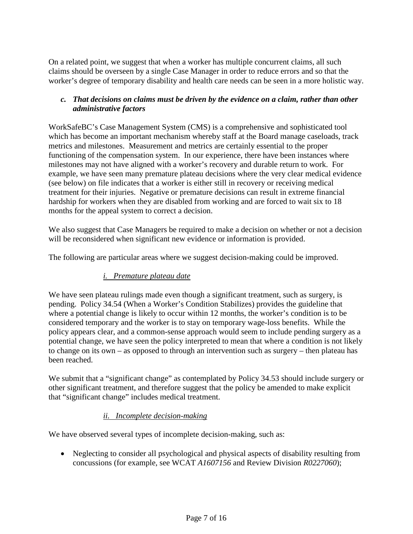On a related point, we suggest that when a worker has multiple concurrent claims, all such claims should be overseen by a single Case Manager in order to reduce errors and so that the worker's degree of temporary disability and health care needs can be seen in a more holistic way.

#### *c. That decisions on claims must be driven by the evidence on a claim, rather than other administrative factors*

WorkSafeBC's Case Management System (CMS) is a comprehensive and sophisticated tool which has become an important mechanism whereby staff at the Board manage caseloads, track metrics and milestones. Measurement and metrics are certainly essential to the proper functioning of the compensation system. In our experience, there have been instances where milestones may not have aligned with a worker's recovery and durable return to work. For example, we have seen many premature plateau decisions where the very clear medical evidence (see below) on file indicates that a worker is either still in recovery or receiving medical treatment for their injuries. Negative or premature decisions can result in extreme financial hardship for workers when they are disabled from working and are forced to wait six to 18 months for the appeal system to correct a decision.

We also suggest that Case Managers be required to make a decision on whether or not a decision will be reconsidered when significant new evidence or information is provided.

The following are particular areas where we suggest decision-making could be improved.

#### *i. Premature plateau date*

We have seen plateau rulings made even though a significant treatment, such as surgery, is pending. Policy 34.54 (When a Worker's Condition Stabilizes) provides the guideline that where a potential change is likely to occur within 12 months, the worker's condition is to be considered temporary and the worker is to stay on temporary wage-loss benefits. While the policy appears clear, and a common-sense approach would seem to include pending surgery as a potential change, we have seen the policy interpreted to mean that where a condition is not likely to change on its own – as opposed to through an intervention such as surgery – then plateau has been reached.

We submit that a "significant change" as contemplated by Policy 34.53 should include surgery or other significant treatment, and therefore suggest that the policy be amended to make explicit that "significant change" includes medical treatment.

#### *ii. Incomplete decision-making*

We have observed several types of incomplete decision-making, such as:

• Neglecting to consider all psychological and physical aspects of disability resulting from concussions (for example, see WCAT *A1607156* and Review Division *R0227060*);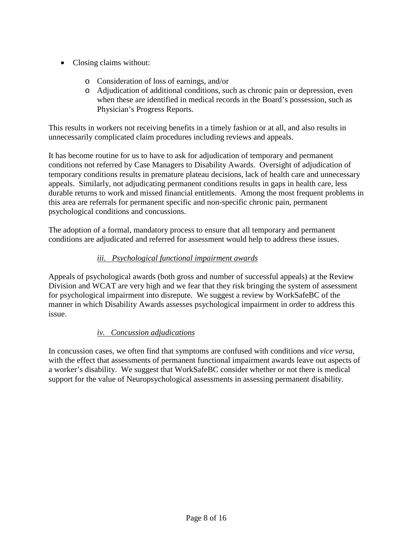- Closing claims without:
	- o Consideration of loss of earnings, and/or
	- o Adjudication of additional conditions, such as chronic pain or depression, even when these are identified in medical records in the Board's possession, such as Physician's Progress Reports.

This results in workers not receiving benefits in a timely fashion or at all, and also results in unnecessarily complicated claim procedures including reviews and appeals.

It has become routine for us to have to ask for adjudication of temporary and permanent conditions not referred by Case Managers to Disability Awards. Oversight of adjudication of temporary conditions results in premature plateau decisions, lack of health care and unnecessary appeals. Similarly, not adjudicating permanent conditions results in gaps in health care, less durable returns to work and missed financial entitlements. Among the most frequent problems in this area are referrals for permanent specific and non-specific chronic pain, permanent psychological conditions and concussions.

The adoption of a formal, mandatory process to ensure that all temporary and permanent conditions are adjudicated and referred for assessment would help to address these issues.

# *iii. Psychological functional impairment awards*

Appeals of psychological awards (both gross and number of successful appeals) at the Review Division and WCAT are very high and we fear that they risk bringing the system of assessment for psychological impairment into disrepute. We suggest a review by WorkSafeBC of the manner in which Disability Awards assesses psychological impairment in order to address this issue.

#### *iv. Concussion adjudications*

In concussion cases, we often find that symptoms are confused with conditions and *vice versa*, with the effect that assessments of permanent functional impairment awards leave out aspects of a worker's disability. We suggest that WorkSafeBC consider whether or not there is medical support for the value of Neuropsychological assessments in assessing permanent disability.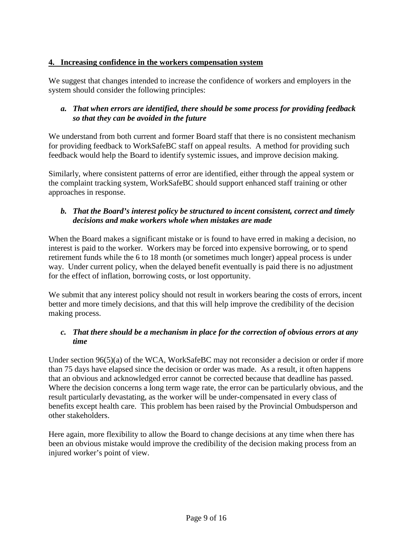### **4. Increasing confidence in the workers compensation system**

We suggest that changes intended to increase the confidence of workers and employers in the system should consider the following principles:

# *a. That when errors are identified, there should be some process for providing feedback so that they can be avoided in the future*

We understand from both current and former Board staff that there is no consistent mechanism for providing feedback to WorkSafeBC staff on appeal results. A method for providing such feedback would help the Board to identify systemic issues, and improve decision making.

Similarly, where consistent patterns of error are identified, either through the appeal system or the complaint tracking system, WorkSafeBC should support enhanced staff training or other approaches in response.

### *b. That the Board's interest policy be structured to incent consistent, correct and timely decisions and make workers whole when mistakes are made*

When the Board makes a significant mistake or is found to have erred in making a decision, no interest is paid to the worker. Workers may be forced into expensive borrowing, or to spend retirement funds while the 6 to 18 month (or sometimes much longer) appeal process is under way. Under current policy, when the delayed benefit eventually is paid there is no adjustment for the effect of inflation, borrowing costs, or lost opportunity.

We submit that any interest policy should not result in workers bearing the costs of errors, incent better and more timely decisions, and that this will help improve the credibility of the decision making process.

# *c. That there should be a mechanism in place for the correction of obvious errors at any time*

Under section 96(5)(a) of the WCA, WorkSafeBC may not reconsider a decision or order if more than 75 days have elapsed since the decision or order was made. As a result, it often happens that an obvious and acknowledged error cannot be corrected because that deadline has passed. Where the decision concerns a long term wage rate, the error can be particularly obvious, and the result particularly devastating, as the worker will be under-compensated in every class of benefits except health care. This problem has been raised by the Provincial Ombudsperson and other stakeholders.

Here again, more flexibility to allow the Board to change decisions at any time when there has been an obvious mistake would improve the credibility of the decision making process from an injured worker's point of view.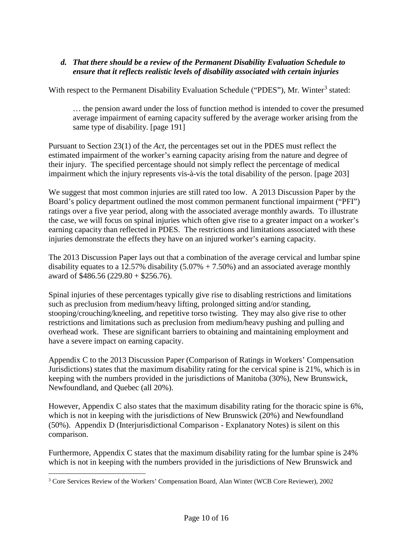# *d. That there should be a review of the Permanent Disability Evaluation Schedule to ensure that it reflects realistic levels of disability associated with certain injuries*

With respect to the Permanent Disability Evaluation Schedule ("PDES"), Mr. Winter<sup>[3](#page-9-0)</sup> stated:

… the pension award under the loss of function method is intended to cover the presumed average impairment of earning capacity suffered by the average worker arising from the same type of disability. [page 191]

Pursuant to Section 23(1) of the *Act*, the percentages set out in the PDES must reflect the estimated impairment of the worker's earning capacity arising from the nature and degree of their injury. The specified percentage should not simply reflect the percentage of medical impairment which the injury represents vis-à-vis the total disability of the person. [page 203]

We suggest that most common injuries are still rated too low. A 2013 Discussion Paper by the Board's policy department outlined the most common permanent functional impairment ("PFI") ratings over a five year period, along with the associated average monthly awards. To illustrate the case, we will focus on spinal injuries which often give rise to a greater impact on a worker's earning capacity than reflected in PDES. The restrictions and limitations associated with these injuries demonstrate the effects they have on an injured worker's earning capacity.

The 2013 Discussion Paper lays out that a combination of the average cervical and lumbar spine disability equates to a 12.57% disability  $(5.07% + 7.50%)$  and an associated average monthly award of \$486.56 (229.80 + \$256.76).

Spinal injuries of these percentages typically give rise to disabling restrictions and limitations such as preclusion from medium/heavy lifting, prolonged sitting and/or standing, stooping/crouching/kneeling, and repetitive torso twisting. They may also give rise to other restrictions and limitations such as preclusion from medium/heavy pushing and pulling and overhead work. These are significant barriers to obtaining and maintaining employment and have a severe impact on earning capacity.

Appendix C to the 2013 Discussion Paper (Comparison of Ratings in Workers' Compensation Jurisdictions) states that the maximum disability rating for the cervical spine is 21%, which is in keeping with the numbers provided in the jurisdictions of Manitoba (30%), New Brunswick, Newfoundland, and Quebec (all 20%).

However, Appendix C also states that the maximum disability rating for the thoracic spine is 6%, which is not in keeping with the jurisdictions of New Brunswick (20%) and Newfoundland (50%). Appendix D (Interjurisdictional Comparison - Explanatory Notes) is silent on this comparison.

Furthermore, Appendix C states that the maximum disability rating for the lumbar spine is 24% which is not in keeping with the numbers provided in the jurisdictions of New Brunswick and

<span id="page-9-0"></span> <sup>3</sup> Core Services Review of the Workers' Compensation Board, Alan Winter (WCB Core Reviewer), 2002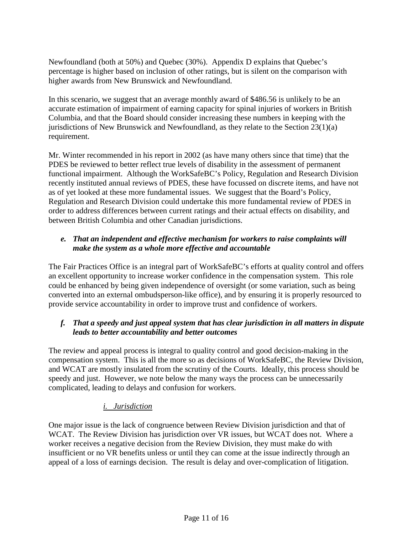Newfoundland (both at 50%) and Quebec (30%). Appendix D explains that Quebec's percentage is higher based on inclusion of other ratings, but is silent on the comparison with higher awards from New Brunswick and Newfoundland.

In this scenario, we suggest that an average monthly award of \$486.56 is unlikely to be an accurate estimation of impairment of earning capacity for spinal injuries of workers in British Columbia, and that the Board should consider increasing these numbers in keeping with the jurisdictions of New Brunswick and Newfoundland, as they relate to the Section  $23(1)(a)$ requirement.

Mr. Winter recommended in his report in 2002 (as have many others since that time) that the PDES be reviewed to better reflect true levels of disability in the assessment of permanent functional impairment. Although the WorkSafeBC's Policy, Regulation and Research Division recently instituted annual reviews of PDES, these have focussed on discrete items, and have not as of yet looked at these more fundamental issues. We suggest that the Board's Policy, Regulation and Research Division could undertake this more fundamental review of PDES in order to address differences between current ratings and their actual effects on disability, and between British Columbia and other Canadian jurisdictions.

# *e. That an independent and effective mechanism for workers to raise complaints will make the system as a whole more effective and accountable*

The Fair Practices Office is an integral part of WorkSafeBC's efforts at quality control and offers an excellent opportunity to increase worker confidence in the compensation system. This role could be enhanced by being given independence of oversight (or some variation, such as being converted into an external ombudsperson-like office), and by ensuring it is properly resourced to provide service accountability in order to improve trust and confidence of workers.

# *f. That a speedy and just appeal system that has clear jurisdiction in all matters in dispute leads to better accountability and better outcomes*

The review and appeal process is integral to quality control and good decision-making in the compensation system. This is all the more so as decisions of WorkSafeBC, the Review Division, and WCAT are mostly insulated from the scrutiny of the Courts. Ideally, this process should be speedy and just. However, we note below the many ways the process can be unnecessarily complicated, leading to delays and confusion for workers.

# *i. Jurisdiction*

One major issue is the lack of congruence between Review Division jurisdiction and that of WCAT. The Review Division has jurisdiction over VR issues, but WCAT does not. Where a worker receives a negative decision from the Review Division, they must make do with insufficient or no VR benefits unless or until they can come at the issue indirectly through an appeal of a loss of earnings decision. The result is delay and over-complication of litigation.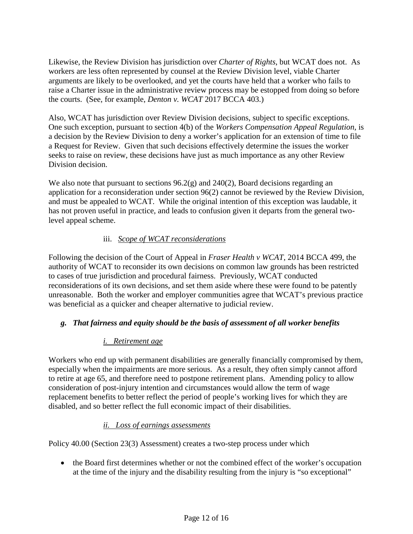Likewise, the Review Division has jurisdiction over *Charter of Rights*, but WCAT does not. As workers are less often represented by counsel at the Review Division level, viable Charter arguments are likely to be overlooked, and yet the courts have held that a worker who fails to raise a Charter issue in the administrative review process may be estopped from doing so before the courts. (See, for example, *Denton v. WCAT* 2017 BCCA 403.)

Also, WCAT has jurisdiction over Review Division decisions, subject to specific exceptions. One such exception, pursuant to section 4(b) of the *Workers Compensation Appeal Regulation*, is a decision by the Review Division to deny a worker's application for an extension of time to file a Request for Review. Given that such decisions effectively determine the issues the worker seeks to raise on review, these decisions have just as much importance as any other Review Division decision.

We also note that pursuant to sections  $96.2(g)$  and  $240(2)$ , Board decisions regarding an application for a reconsideration under section 96(2) cannot be reviewed by the Review Division, and must be appealed to WCAT. While the original intention of this exception was laudable, it has not proven useful in practice, and leads to confusion given it departs from the general twolevel appeal scheme.

# iii. *Scope of WCAT reconsiderations*

Following the decision of the Court of Appeal in *Fraser Health v WCAT*, 2014 BCCA 499, the authority of WCAT to reconsider its own decisions on common law grounds has been restricted to cases of true jurisdiction and procedural fairness. Previously, WCAT conducted reconsiderations of its own decisions, and set them aside where these were found to be patently unreasonable. Both the worker and employer communities agree that WCAT's previous practice was beneficial as a quicker and cheaper alternative to judicial review.

# *g. That fairness and equity should be the basis of assessment of all worker benefits*

# *i. Retirement age*

Workers who end up with permanent disabilities are generally financially compromised by them, especially when the impairments are more serious. As a result, they often simply cannot afford to retire at age 65, and therefore need to postpone retirement plans. Amending policy to allow consideration of post-injury intention and circumstances would allow the term of wage replacement benefits to better reflect the period of people's working lives for which they are disabled, and so better reflect the full economic impact of their disabilities.

# *ii. Loss of earnings assessments*

Policy 40.00 (Section 23(3) Assessment) creates a two-step process under which

• the Board first determines whether or not the combined effect of the worker's occupation at the time of the injury and the disability resulting from the injury is "so exceptional"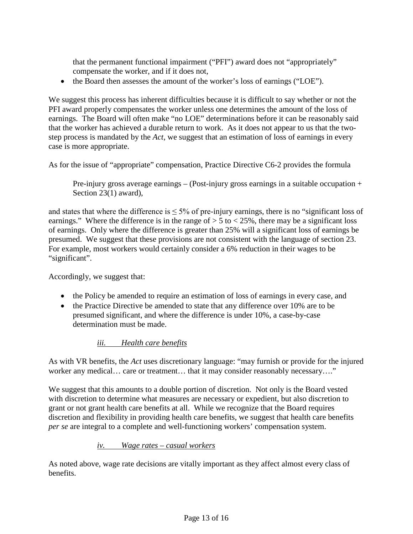that the permanent functional impairment ("PFI") award does not "appropriately" compensate the worker, and if it does not,

• the Board then assesses the amount of the worker's loss of earnings ("LOE").

We suggest this process has inherent difficulties because it is difficult to say whether or not the PFI award properly compensates the worker unless one determines the amount of the loss of earnings. The Board will often make "no LOE" determinations before it can be reasonably said that the worker has achieved a durable return to work. As it does not appear to us that the twostep process is mandated by the *Act*, we suggest that an estimation of loss of earnings in every case is more appropriate.

As for the issue of "appropriate" compensation, Practice Directive C6-2 provides the formula

Pre-injury gross average earnings – (Post-injury gross earnings in a suitable occupation + Section 23(1) award),

and states that where the difference is  $\leq 5\%$  of pre-injury earnings, there is no "significant loss of earnings." Where the difference is in the range of  $> 5$  to  $< 25\%$ , there may be a significant loss of earnings. Only where the difference is greater than 25% will a significant loss of earnings be presumed. We suggest that these provisions are not consistent with the language of section 23. For example, most workers would certainly consider a 6% reduction in their wages to be "significant".

Accordingly, we suggest that:

- the Policy be amended to require an estimation of loss of earnings in every case, and
- the Practice Directive be amended to state that any difference over 10% are to be presumed significant, and where the difference is under 10%, a case-by-case determination must be made.

#### *iii. Health care benefits*

As with VR benefits, the *Act* uses discretionary language: "may furnish or provide for the injured worker any medical... care or treatment... that it may consider reasonably necessary...."

We suggest that this amounts to a double portion of discretion. Not only is the Board vested with discretion to determine what measures are necessary or expedient, but also discretion to grant or not grant health care benefits at all. While we recognize that the Board requires discretion and flexibility in providing health care benefits, we suggest that health care benefits *per se* are integral to a complete and well-functioning workers' compensation system.

#### *iv. Wage rates – casual workers*

As noted above, wage rate decisions are vitally important as they affect almost every class of benefits.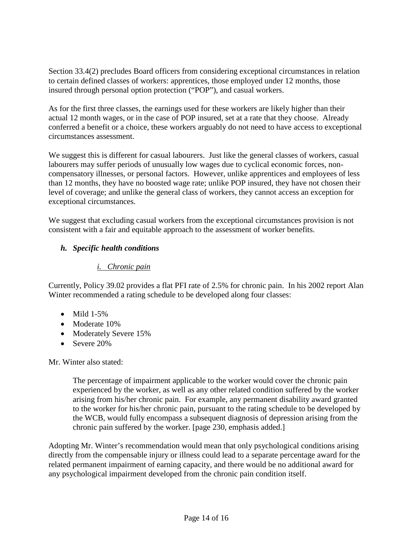Section 33.4(2) precludes Board officers from considering exceptional circumstances in relation to certain defined classes of workers: apprentices, those employed under 12 months, those insured through personal option protection ("POP"), and casual workers.

As for the first three classes, the earnings used for these workers are likely higher than their actual 12 month wages, or in the case of POP insured, set at a rate that they choose. Already conferred a benefit or a choice, these workers arguably do not need to have access to exceptional circumstances assessment.

We suggest this is different for casual labourers. Just like the general classes of workers, casual labourers may suffer periods of unusually low wages due to cyclical economic forces, noncompensatory illnesses, or personal factors. However, unlike apprentices and employees of less than 12 months, they have no boosted wage rate; unlike POP insured, they have not chosen their level of coverage; and unlike the general class of workers, they cannot access an exception for exceptional circumstances.

We suggest that excluding casual workers from the exceptional circumstances provision is not consistent with a fair and equitable approach to the assessment of worker benefits.

# *h. Specific health conditions*

### *i. Chronic pain*

Currently, Policy 39.02 provides a flat PFI rate of 2.5% for chronic pain. In his 2002 report Alan Winter recommended a rating schedule to be developed along four classes:

- $\bullet$  Mild 1-5%
- Moderate 10%
- Moderately Severe 15%
- Severe 20%

Mr. Winter also stated:

The percentage of impairment applicable to the worker would cover the chronic pain experienced by the worker, as well as any other related condition suffered by the worker arising from his/her chronic pain. For example, any permanent disability award granted to the worker for his/her chronic pain, pursuant to the rating schedule to be developed by the WCB, would fully encompass a subsequent diagnosis of depression arising from the chronic pain suffered by the worker. [page 230, emphasis added.]

Adopting Mr. Winter's recommendation would mean that only psychological conditions arising directly from the compensable injury or illness could lead to a separate percentage award for the related permanent impairment of earning capacity, and there would be no additional award for any psychological impairment developed from the chronic pain condition itself.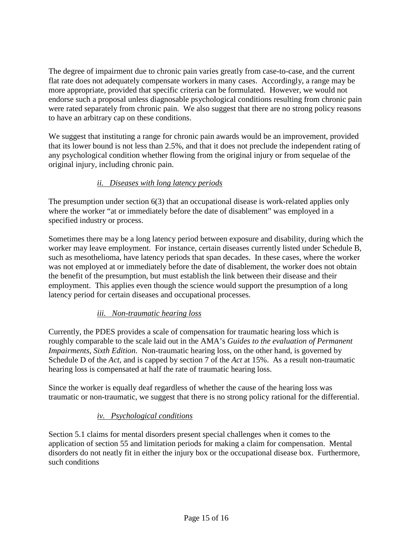The degree of impairment due to chronic pain varies greatly from case-to-case, and the current flat rate does not adequately compensate workers in many cases. Accordingly, a range may be more appropriate, provided that specific criteria can be formulated. However, we would not endorse such a proposal unless diagnosable psychological conditions resulting from chronic pain were rated separately from chronic pain. We also suggest that there are no strong policy reasons to have an arbitrary cap on these conditions.

We suggest that instituting a range for chronic pain awards would be an improvement, provided that its lower bound is not less than 2.5%, and that it does not preclude the independent rating of any psychological condition whether flowing from the original injury or from sequelae of the original injury, including chronic pain.

# *ii. Diseases with long latency periods*

The presumption under section 6(3) that an occupational disease is work-related applies only where the worker "at or immediately before the date of disablement" was employed in a specified industry or process.

Sometimes there may be a long latency period between exposure and disability, during which the worker may leave employment. For instance, certain diseases currently listed under Schedule B, such as mesothelioma, have latency periods that span decades. In these cases, where the worker was not employed at or immediately before the date of disablement, the worker does not obtain the benefit of the presumption, but must establish the link between their disease and their employment. This applies even though the science would support the presumption of a long latency period for certain diseases and occupational processes.

#### *iii. Non-traumatic hearing loss*

Currently, the PDES provides a scale of compensation for traumatic hearing loss which is roughly comparable to the scale laid out in the AMA's *Guides to the evaluation of Permanent Impairments, Sixth Edition*. Non-traumatic hearing loss, on the other hand, is governed by Schedule D of the *Act*, and is capped by section 7 of the *Act* at 15%. As a result non-traumatic hearing loss is compensated at half the rate of traumatic hearing loss.

Since the worker is equally deaf regardless of whether the cause of the hearing loss was traumatic or non-traumatic, we suggest that there is no strong policy rational for the differential.

#### *iv. Psychological conditions*

Section 5.1 claims for mental disorders present special challenges when it comes to the application of section 55 and limitation periods for making a claim for compensation. Mental disorders do not neatly fit in either the injury box or the occupational disease box. Furthermore, such conditions